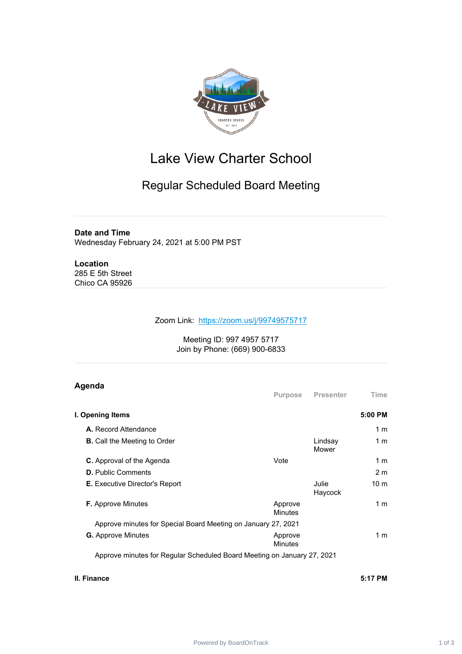

# Lake View Charter School

## Regular Scheduled Board Meeting

### **Date and Time**

Wednesday February 24, 2021 at 5:00 PM PST

#### **Location** 285 E 5th Street Chico CA 95926

#### Zoom Link: <https://zoom.us/j/99749575717>

#### Meeting ID: 997 4957 5717 Join by Phone: (669) 900-6833

### **Agenda**

|                                                               |                  | 5:00 PM         |
|---------------------------------------------------------------|------------------|-----------------|
|                                                               |                  | 1 m             |
|                                                               | Lindsay<br>Mower | 1 <sub>m</sub>  |
| Vote                                                          |                  | 1 m             |
|                                                               |                  | 2 <sub>m</sub>  |
|                                                               | Julie<br>Haycock | 10 <sub>m</sub> |
| Approve<br>Minutes                                            |                  | 1 m             |
| Approve minutes for Special Board Meeting on January 27, 2021 |                  |                 |
| Approve<br><b>Minutes</b>                                     |                  | 1 m             |
|                                                               |                  |                 |

Approve minutes for Regular Scheduled Board Meeting on January 27, 2021

### **II. Finance 5:17 PM**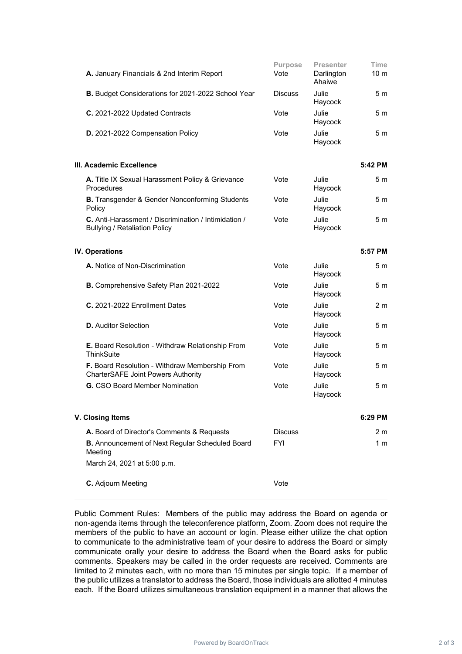| A. January Financials & 2nd Interim Report                                                   | <b>Purpose</b><br>Vote | <b>Presenter</b><br>Darlington<br>Ahaiwe | <b>Time</b><br>10 <sub>m</sub> |
|----------------------------------------------------------------------------------------------|------------------------|------------------------------------------|--------------------------------|
| <b>B.</b> Budget Considerations for 2021-2022 School Year                                    | <b>Discuss</b>         | Julie<br>Haycock                         | 5 m                            |
| C. 2021-2022 Updated Contracts                                                               | Vote                   | Julie<br>Haycock                         | 5 <sub>m</sub>                 |
| D. 2021-2022 Compensation Policy                                                             | Vote                   | Julie<br>Haycock                         | 5 m                            |
| III. Academic Excellence                                                                     |                        |                                          | 5:42 PM                        |
| A. Title IX Sexual Harassment Policy & Grievance<br>Procedures                               | Vote                   | Julie<br>Haycock                         | 5 m                            |
| <b>B.</b> Transgender & Gender Nonconforming Students<br>Policy                              | Vote                   | Julie<br>Haycock                         | 5 m                            |
| C. Anti-Harassment / Discrimination / Intimidation /<br><b>Bullying / Retaliation Policy</b> | Vote                   | Julie<br>Haycock                         | 5 m                            |
| <b>IV. Operations</b>                                                                        |                        |                                          | 5:57 PM                        |
| A. Notice of Non-Discrimination                                                              | Vote                   | Julie<br>Haycock                         | 5 <sub>m</sub>                 |
| B. Comprehensive Safety Plan 2021-2022                                                       | Vote                   | Julie<br>Haycock                         | 5 <sub>m</sub>                 |
| C. 2021-2022 Enrollment Dates                                                                | Vote                   | Julie<br>Haycock                         | 2 <sub>m</sub>                 |
| <b>D.</b> Auditor Selection                                                                  | Vote                   | Julie<br>Haycock                         | 5 m                            |
| <b>E.</b> Board Resolution - Withdraw Relationship From<br>ThinkSuite                        | Vote                   | Julie<br>Haycock                         | 5 m                            |
| F. Board Resolution - Withdraw Membership From<br><b>CharterSAFE Joint Powers Authority</b>  | Vote                   | Julie<br>Haycock                         | 5 m                            |
| <b>G.</b> CSO Board Member Nomination                                                        | Vote                   | Julie<br>Haycock                         | 5 <sub>m</sub>                 |
| V. Closing Items                                                                             |                        |                                          | 6:29 PM                        |
| A. Board of Director's Comments & Requests                                                   | <b>Discuss</b>         |                                          | 2 m                            |
| B. Announcement of Next Regular Scheduled Board<br>Meeting                                   | <b>FYI</b>             |                                          | 1 <sub>m</sub>                 |
| March 24, 2021 at 5:00 p.m.                                                                  |                        |                                          |                                |
| C. Adjourn Meeting                                                                           | Vote                   |                                          |                                |

Public Comment Rules: Members of the public may address the Board on agenda or non-agenda items through the teleconference platform, Zoom. Zoom does not require the members of the public to have an account or login. Please either utilize the chat option to communicate to the administrative team of your desire to address the Board or simply communicate orally your desire to address the Board when the Board asks for public comments. Speakers may be called in the order requests are received. Comments are limited to 2 minutes each, with no more than 15 minutes per single topic. If a member of the public utilizes a translator to address the Board, those individuals are allotted 4 minutes each. If the Board utilizes simultaneous translation equipment in a manner that allows the